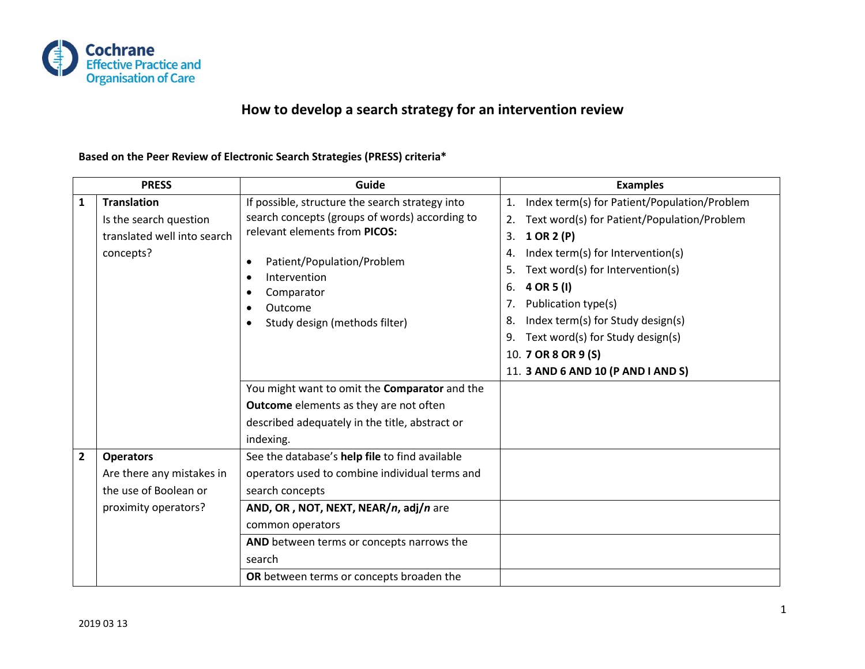

## **How to develop a search strategy for an intervention review**

## **Based on the Peer Review of Electronic Search Strategies (PRESS) criteria\***

| <b>PRESS</b>            |                                                                                                | Guide                                                                                                                                                                                                                                                                                                       | <b>Examples</b>                                                                                                                                                                                                                                                                                                                                                                                                                 |
|-------------------------|------------------------------------------------------------------------------------------------|-------------------------------------------------------------------------------------------------------------------------------------------------------------------------------------------------------------------------------------------------------------------------------------------------------------|---------------------------------------------------------------------------------------------------------------------------------------------------------------------------------------------------------------------------------------------------------------------------------------------------------------------------------------------------------------------------------------------------------------------------------|
| $\mathbf{1}$            | <b>Translation</b><br>Is the search question<br>translated well into search<br>concepts?       | If possible, structure the search strategy into<br>search concepts (groups of words) according to<br>relevant elements from PICOS:<br>Patient/Population/Problem<br>$\bullet$<br>Intervention<br>$\bullet$<br>Comparator<br>$\bullet$<br>Outcome<br>$\bullet$<br>Study design (methods filter)<br>$\bullet$ | Index term(s) for Patient/Population/Problem<br>$\mathbf{1}$ .<br>Text word(s) for Patient/Population/Problem<br>2.<br>1 OR 2 (P)<br>3.<br>Index term(s) for Intervention(s)<br>4.<br>Text word(s) for Intervention(s)<br>5.<br>4 OR 5 (I)<br>6.<br>Publication type(s)<br>7.<br>Index term(s) for Study design(s)<br>8.<br>Text word(s) for Study design(s)<br>9.<br>10. 7 OR 8 OR 9 (S)<br>11. 3 AND 6 AND 10 (P AND I AND S) |
|                         |                                                                                                | You might want to omit the Comparator and the<br><b>Outcome</b> elements as they are not often<br>described adequately in the title, abstract or<br>indexing.                                                                                                                                               |                                                                                                                                                                                                                                                                                                                                                                                                                                 |
| $\overline{\mathbf{2}}$ | <b>Operators</b><br>Are there any mistakes in<br>the use of Boolean or<br>proximity operators? | See the database's help file to find available<br>operators used to combine individual terms and<br>search concepts<br>AND, OR, NOT, NEXT, NEAR/n, adj/n are<br>common operators<br>AND between terms or concepts narrows the<br>search<br>OR between terms or concepts broaden the                         |                                                                                                                                                                                                                                                                                                                                                                                                                                 |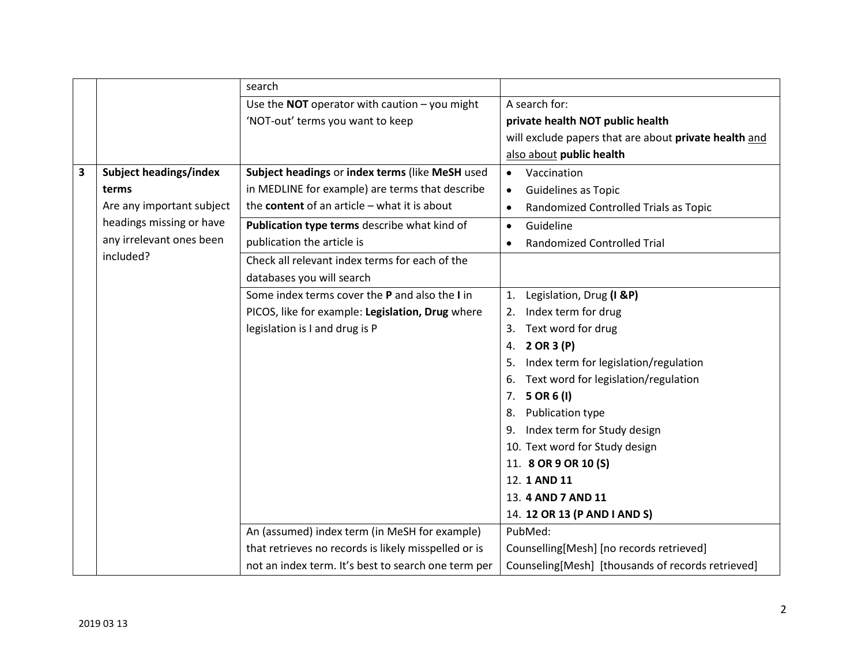|   |                               | search                                                 |                                                       |
|---|-------------------------------|--------------------------------------------------------|-------------------------------------------------------|
|   |                               | Use the <b>NOT</b> operator with caution $-$ you might | A search for:                                         |
|   |                               | 'NOT-out' terms you want to keep                       | private health NOT public health                      |
|   |                               |                                                        | will exclude papers that are about private health and |
|   |                               |                                                        | also about public health                              |
| 3 | <b>Subject headings/index</b> | Subject headings or index terms (like MeSH used        | Vaccination<br>$\bullet$                              |
|   | terms                         | in MEDLINE for example) are terms that describe        | <b>Guidelines as Topic</b><br>$\bullet$               |
|   | Are any important subject     | the content of an article $-$ what it is about         | Randomized Controlled Trials as Topic<br>$\bullet$    |
|   | headings missing or have      | Publication type terms describe what kind of           | Guideline<br>$\bullet$                                |
|   | any irrelevant ones been      | publication the article is                             | <b>Randomized Controlled Trial</b><br>$\bullet$       |
|   | included?                     | Check all relevant index terms for each of the         |                                                       |
|   |                               | databases you will search                              |                                                       |
|   |                               | Some index terms cover the P and also the I in         | Legislation, Drug (I &P)<br>1.                        |
|   |                               | PICOS, like for example: Legislation, Drug where       | Index term for drug<br>2.                             |
|   |                               | legislation is I and drug is P                         | Text word for drug<br>3.                              |
|   |                               |                                                        | 4. 2 OR 3 (P)                                         |
|   |                               |                                                        | Index term for legislation/regulation<br>5.           |
|   |                               |                                                        | Text word for legislation/regulation<br>6.            |
|   |                               |                                                        | 5 OR 6 (I)<br>7.                                      |
|   |                               |                                                        | Publication type<br>8.                                |
|   |                               |                                                        | 9. Index term for Study design                        |
|   |                               |                                                        | 10. Text word for Study design                        |
|   |                               |                                                        | 11. 8 OR 9 OR 10 (S)                                  |
|   |                               |                                                        | 12. 1 AND 11                                          |
|   |                               |                                                        | 13. 4 AND 7 AND 11                                    |
|   |                               |                                                        | 14. 12 OR 13 (P AND I AND S)                          |
|   |                               | An (assumed) index term (in MeSH for example)          | PubMed:                                               |
|   |                               | that retrieves no records is likely misspelled or is   | Counselling[Mesh] [no records retrieved]              |
|   |                               | not an index term. It's best to search one term per    | Counseling[Mesh] [thousands of records retrieved]     |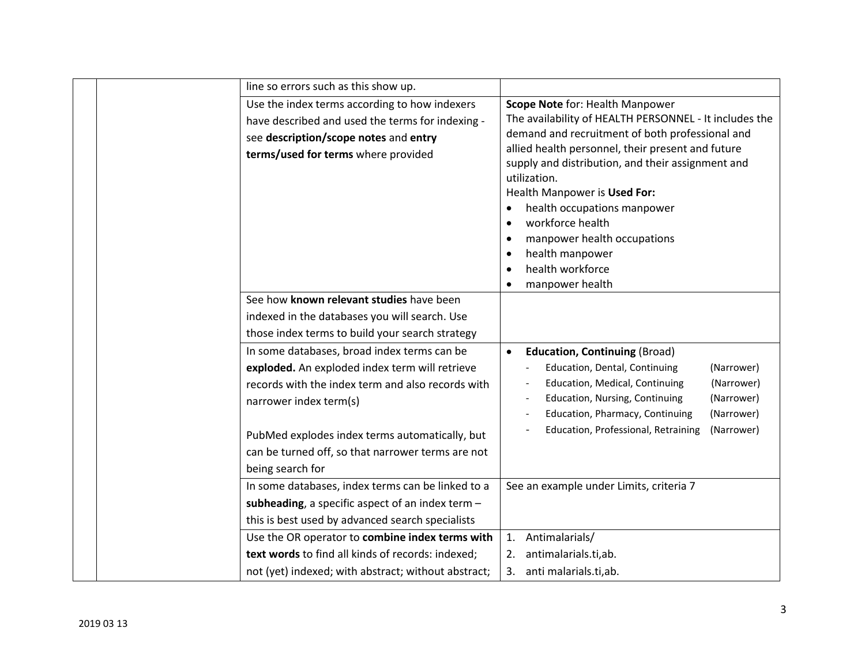|  | line so errors such as this show up.                                                                                                                                                                                                                                                                    |                                                                                                                                                                                                                                                                                                                                                                                                                                                                              |
|--|---------------------------------------------------------------------------------------------------------------------------------------------------------------------------------------------------------------------------------------------------------------------------------------------------------|------------------------------------------------------------------------------------------------------------------------------------------------------------------------------------------------------------------------------------------------------------------------------------------------------------------------------------------------------------------------------------------------------------------------------------------------------------------------------|
|  | Use the index terms according to how indexers<br>have described and used the terms for indexing -<br>see description/scope notes and entry<br>terms/used for terms where provided                                                                                                                       | Scope Note for: Health Manpower<br>The availability of HEALTH PERSONNEL - It includes the<br>demand and recruitment of both professional and<br>allied health personnel, their present and future<br>supply and distribution, and their assignment and<br>utilization.<br>Health Manpower is Used For:<br>health occupations manpower<br>workforce health<br>$\bullet$<br>manpower health occupations<br>health manpower<br>$\bullet$<br>health workforce<br>manpower health |
|  | See how known relevant studies have been<br>indexed in the databases you will search. Use<br>those index terms to build your search strategy                                                                                                                                                            |                                                                                                                                                                                                                                                                                                                                                                                                                                                                              |
|  | In some databases, broad index terms can be<br>exploded. An exploded index term will retrieve<br>records with the index term and also records with<br>narrower index term(s)<br>PubMed explodes index terms automatically, but<br>can be turned off, so that narrower terms are not<br>being search for | <b>Education, Continuing (Broad)</b><br>$\bullet$<br>Education, Dental, Continuing<br>(Narrower)<br>Education, Medical, Continuing<br>(Narrower)<br>Education, Nursing, Continuing<br>(Narrower)<br>Education, Pharmacy, Continuing<br>(Narrower)<br>Education, Professional, Retraining<br>(Narrower)                                                                                                                                                                       |
|  | In some databases, index terms can be linked to a<br>subheading, a specific aspect of an index term -<br>this is best used by advanced search specialists<br>Use the OR operator to combine index terms with                                                                                            | See an example under Limits, criteria 7<br>Antimalarials/<br>1.                                                                                                                                                                                                                                                                                                                                                                                                              |
|  | text words to find all kinds of records: indexed;<br>not (yet) indexed; with abstract; without abstract;                                                                                                                                                                                                | 2. antimalarials.ti,ab.<br>3. anti malarials.ti,ab.                                                                                                                                                                                                                                                                                                                                                                                                                          |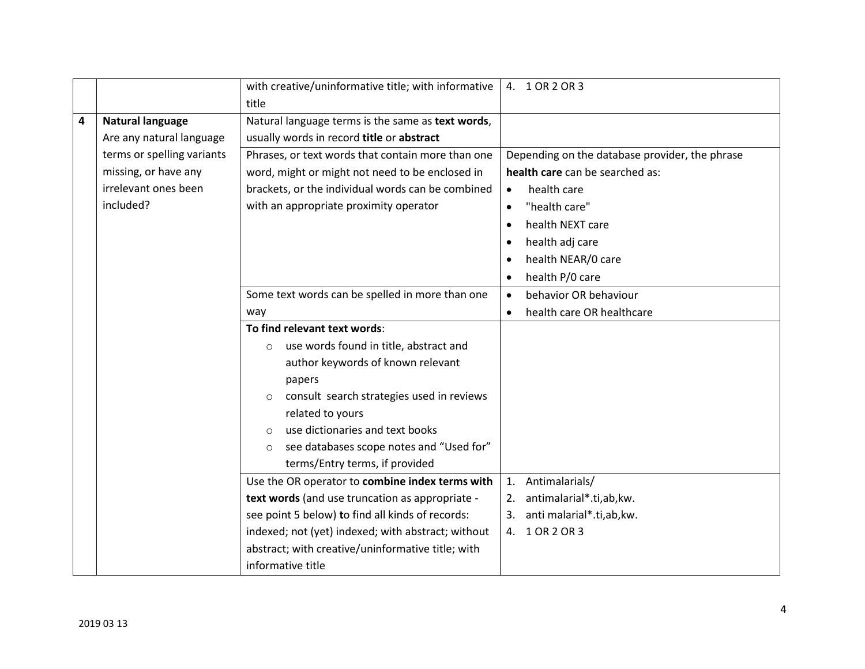|   |                            | with creative/uninformative title; with informative<br>title | 4. 1 OR 2 OR 3                                 |
|---|----------------------------|--------------------------------------------------------------|------------------------------------------------|
| 4 | <b>Natural language</b>    | Natural language terms is the same as text words,            |                                                |
|   | Are any natural language   | usually words in record title or abstract                    |                                                |
|   | terms or spelling variants | Phrases, or text words that contain more than one            | Depending on the database provider, the phrase |
|   | missing, or have any       | word, might or might not need to be enclosed in              | health care can be searched as:                |
|   | irrelevant ones been       | brackets, or the individual words can be combined            | health care<br>$\bullet$                       |
|   | included?                  | with an appropriate proximity operator                       | "health care"<br>$\bullet$                     |
|   |                            |                                                              | health NEXT care<br>$\bullet$                  |
|   |                            |                                                              | health adj care<br>$\bullet$                   |
|   |                            |                                                              | health NEAR/0 care<br>$\bullet$                |
|   |                            |                                                              | health P/0 care<br>$\bullet$                   |
|   |                            | Some text words can be spelled in more than one              | behavior OR behaviour<br>$\bullet$             |
|   |                            | way                                                          | health care OR healthcare<br>$\bullet$         |
|   |                            | To find relevant text words:                                 |                                                |
|   |                            | use words found in title, abstract and<br>$\circ$            |                                                |
|   |                            | author keywords of known relevant                            |                                                |
|   |                            | papers                                                       |                                                |
|   |                            | consult search strategies used in reviews<br>$\circ$         |                                                |
|   |                            | related to yours                                             |                                                |
|   |                            | use dictionaries and text books<br>$\circ$                   |                                                |
|   |                            | see databases scope notes and "Used for"<br>$\circ$          |                                                |
|   |                            | terms/Entry terms, if provided                               |                                                |
|   |                            | Use the OR operator to combine index terms with              | 1. Antimalarials/                              |
|   |                            | text words (and use truncation as appropriate -              | 2. antimalarial*.ti,ab, kw.                    |
|   |                            | see point 5 below) to find all kinds of records:             | anti malarial*.ti,ab,kw.<br>3.                 |
|   |                            | indexed; not (yet) indexed; with abstract; without           | 4. 1 OR 2 OR 3                                 |
|   |                            | abstract; with creative/uninformative title; with            |                                                |
|   |                            | informative title                                            |                                                |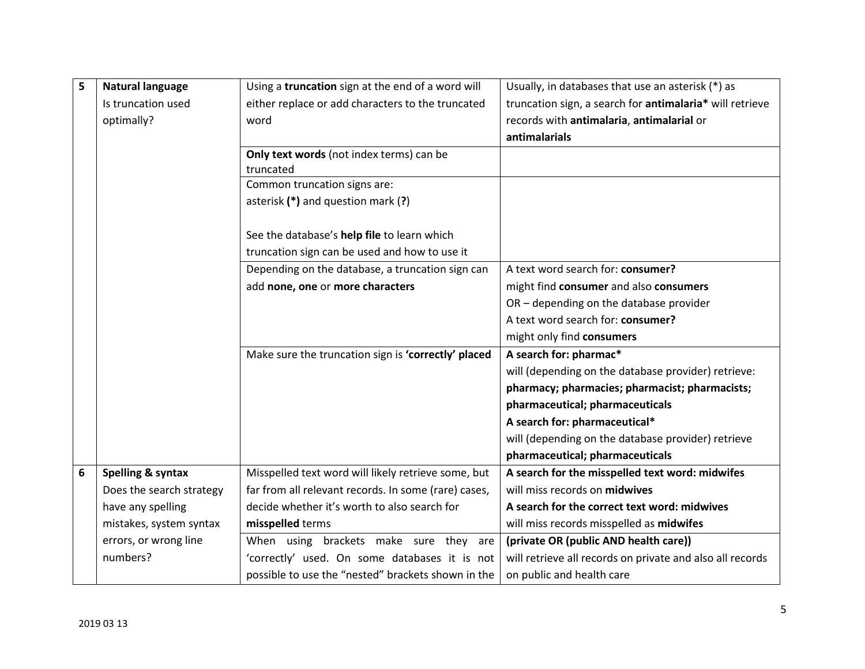| 5 | <b>Natural language</b>      | Using a truncation sign at the end of a word will                                            | Usually, in databases that use an asterisk (*) as         |
|---|------------------------------|----------------------------------------------------------------------------------------------|-----------------------------------------------------------|
|   | Is truncation used           | either replace or add characters to the truncated                                            | truncation sign, a search for antimalaria* will retrieve  |
|   | optimally?                   | word                                                                                         | records with antimalaria, antimalarial or                 |
|   |                              |                                                                                              | antimalarials                                             |
|   |                              | Only text words (not index terms) can be<br>truncated                                        |                                                           |
|   |                              | Common truncation signs are:                                                                 |                                                           |
|   |                              | asterisk (*) and question mark (?)                                                           |                                                           |
|   |                              | See the database's help file to learn which<br>truncation sign can be used and how to use it |                                                           |
|   |                              | Depending on the database, a truncation sign can                                             | A text word search for: consumer?                         |
|   |                              | add none, one or more characters                                                             | might find consumer and also consumers                    |
|   |                              |                                                                                              | OR - depending on the database provider                   |
|   |                              |                                                                                              | A text word search for: consumer?                         |
|   |                              |                                                                                              | might only find consumers                                 |
|   |                              | Make sure the truncation sign is 'correctly' placed                                          | A search for: pharmac*                                    |
|   |                              |                                                                                              | will (depending on the database provider) retrieve:       |
|   |                              |                                                                                              | pharmacy; pharmacies; pharmacist; pharmacists;            |
|   |                              |                                                                                              | pharmaceutical; pharmaceuticals                           |
|   |                              |                                                                                              | A search for: pharmaceutical*                             |
|   |                              |                                                                                              | will (depending on the database provider) retrieve        |
|   |                              |                                                                                              | pharmaceutical; pharmaceuticals                           |
| 6 | <b>Spelling &amp; syntax</b> | Misspelled text word will likely retrieve some, but                                          | A search for the misspelled text word: midwifes           |
|   | Does the search strategy     | far from all relevant records. In some (rare) cases,                                         | will miss records on midwives                             |
|   | have any spelling            | decide whether it's worth to also search for                                                 | A search for the correct text word: midwives              |
|   | mistakes, system syntax      | misspelled terms                                                                             | will miss records misspelled as midwifes                  |
|   | errors, or wrong line        | When using brackets make sure they are                                                       | (private OR (public AND health care))                     |
|   | numbers?                     | 'correctly' used. On some databases it is not                                                | will retrieve all records on private and also all records |
|   |                              | possible to use the "nested" brackets shown in the                                           | on public and health care                                 |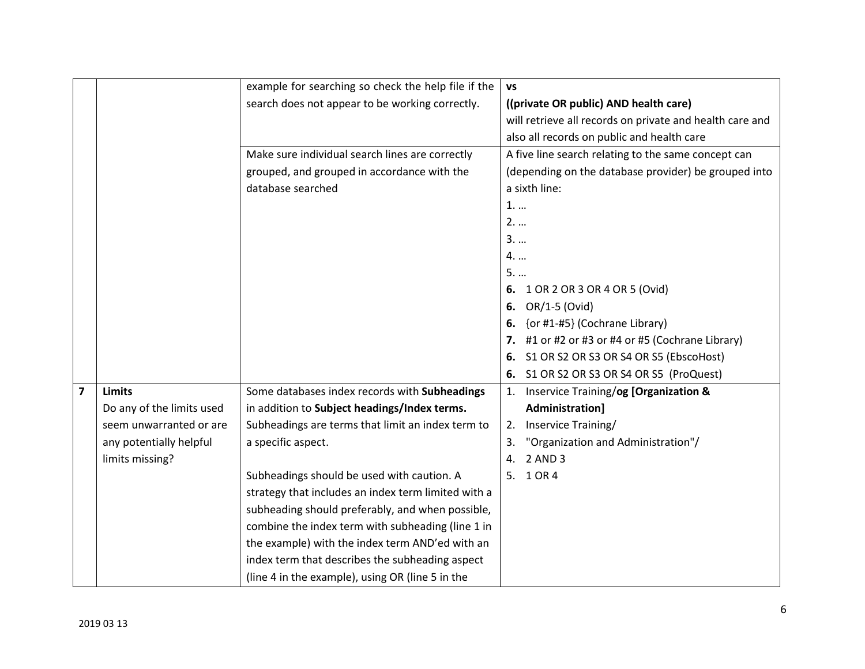|                         |                           | example for searching so check the help file if the | <b>VS</b>                                                |
|-------------------------|---------------------------|-----------------------------------------------------|----------------------------------------------------------|
|                         |                           | search does not appear to be working correctly.     | ((private OR public) AND health care)                    |
|                         |                           |                                                     | will retrieve all records on private and health care and |
|                         |                           |                                                     | also all records on public and health care               |
|                         |                           | Make sure individual search lines are correctly     | A five line search relating to the same concept can      |
|                         |                           | grouped, and grouped in accordance with the         | (depending on the database provider) be grouped into     |
|                         |                           | database searched                                   | a sixth line:                                            |
|                         |                           |                                                     | 1                                                        |
|                         |                           |                                                     | 2.                                                       |
|                         |                           |                                                     | $3.$                                                     |
|                         |                           |                                                     | 4.                                                       |
|                         |                           |                                                     | 5.                                                       |
|                         |                           |                                                     | 6.<br>1 OR 2 OR 3 OR 4 OR 5 (Ovid)                       |
|                         |                           |                                                     | OR/1-5 (Ovid)<br>6.                                      |
|                         |                           |                                                     | {or #1-#5} (Cochrane Library)<br>6.                      |
|                         |                           |                                                     | #1 or #2 or #3 or #4 or #5 (Cochrane Library)<br>7.      |
|                         |                           |                                                     | S1 OR S2 OR S3 OR S4 OR S5 (EbscoHost)<br>6.             |
|                         |                           |                                                     | S1 OR S2 OR S3 OR S4 OR S5 (ProQuest)<br>6.              |
| $\overline{\mathbf{z}}$ | <b>Limits</b>             | Some databases index records with Subheadings       | Inservice Training/og [Organization &<br>1.              |
|                         | Do any of the limits used | in addition to Subject headings/Index terms.        | Administration]                                          |
|                         | seem unwarranted or are   | Subheadings are terms that limit an index term to   | Inservice Training/<br>2.                                |
|                         | any potentially helpful   | a specific aspect.                                  | "Organization and Administration"/<br>3.                 |
|                         | limits missing?           |                                                     | 2 AND 3<br>4.                                            |
|                         |                           | Subheadings should be used with caution. A          | 1 OR 4<br>5.                                             |
|                         |                           | strategy that includes an index term limited with a |                                                          |
|                         |                           | subheading should preferably, and when possible,    |                                                          |
|                         |                           | combine the index term with subheading (line 1 in   |                                                          |
|                         |                           | the example) with the index term AND'ed with an     |                                                          |
|                         |                           | index term that describes the subheading aspect     |                                                          |
|                         |                           | (line 4 in the example), using OR (line 5 in the    |                                                          |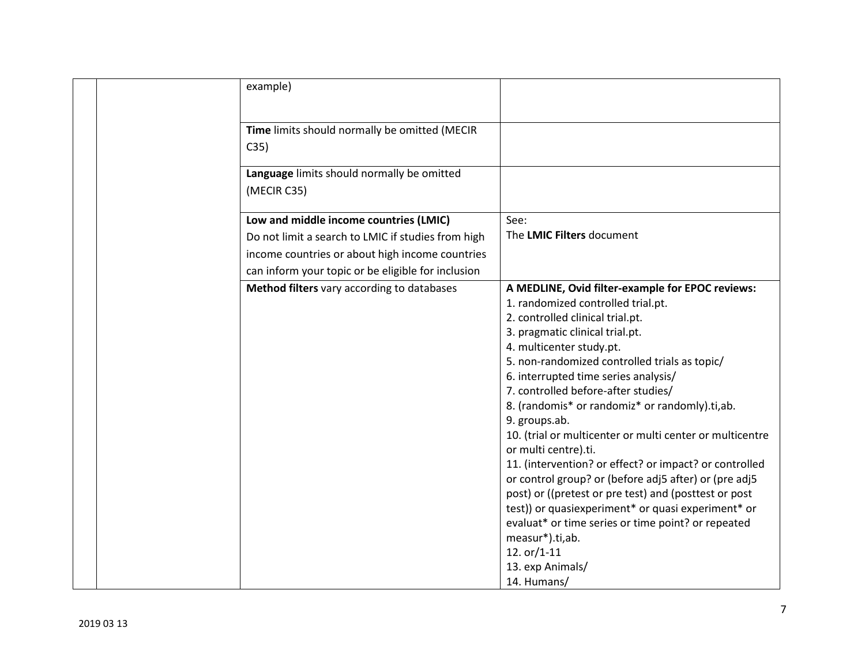|  | example)                                                  |                                                          |
|--|-----------------------------------------------------------|----------------------------------------------------------|
|  |                                                           |                                                          |
|  | Time limits should normally be omitted (MECIR             |                                                          |
|  | C35)                                                      |                                                          |
|  | Language limits should normally be omitted<br>(MECIR C35) |                                                          |
|  | Low and middle income countries (LMIC)                    | See:                                                     |
|  | Do not limit a search to LMIC if studies from high        | The LMIC Filters document                                |
|  | income countries or about high income countries           |                                                          |
|  | can inform your topic or be eligible for inclusion        |                                                          |
|  | Method filters vary according to databases                | A MEDLINE, Ovid filter-example for EPOC reviews:         |
|  |                                                           | 1. randomized controlled trial.pt.                       |
|  |                                                           | 2. controlled clinical trial.pt.                         |
|  |                                                           | 3. pragmatic clinical trial.pt.                          |
|  |                                                           | 4. multicenter study.pt.                                 |
|  |                                                           | 5. non-randomized controlled trials as topic/            |
|  |                                                           | 6. interrupted time series analysis/                     |
|  |                                                           | 7. controlled before-after studies/                      |
|  |                                                           | 8. (randomis* or randomiz* or randomly).ti,ab.           |
|  |                                                           | 9. groups.ab.                                            |
|  |                                                           | 10. (trial or multicenter or multi center or multicentre |
|  |                                                           | or multi centre).ti.                                     |
|  |                                                           | 11. (intervention? or effect? or impact? or controlled   |
|  |                                                           | or control group? or (before adj5 after) or (pre adj5    |
|  |                                                           | post) or ((pretest or pre test) and (posttest or post    |
|  |                                                           | test)) or quasiexperiment* or quasi experiment* or       |
|  |                                                           | evaluat* or time series or time point? or repeated       |
|  |                                                           | measur*).ti,ab.                                          |
|  |                                                           | 12. $or/1-11$                                            |
|  |                                                           | 13. exp Animals/                                         |
|  |                                                           | 14. Humans/                                              |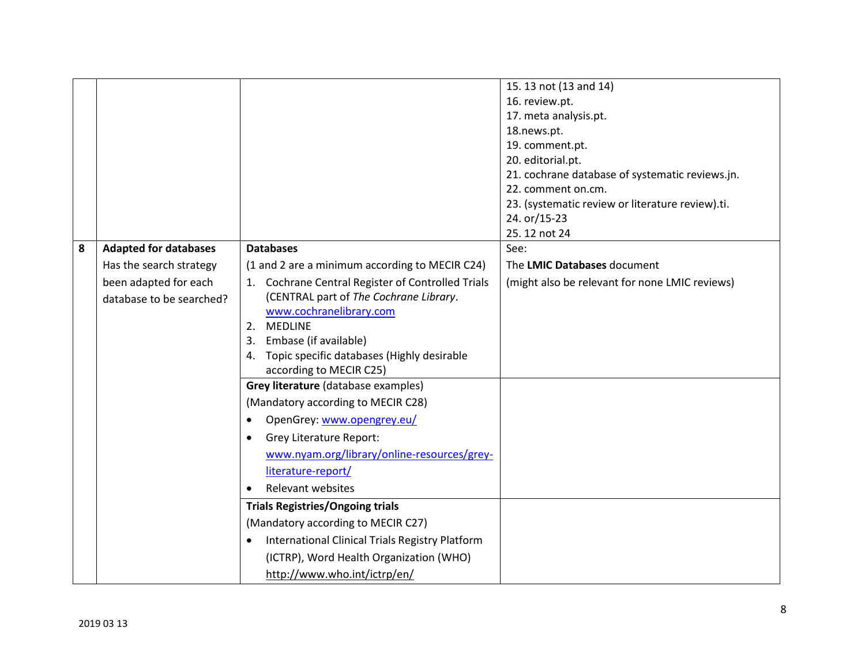|   |                              |                                                                     | 15. 13 not (13 and 14)                           |
|---|------------------------------|---------------------------------------------------------------------|--------------------------------------------------|
|   |                              |                                                                     | 16. review.pt.                                   |
|   |                              |                                                                     | 17. meta analysis.pt.                            |
|   |                              |                                                                     | 18.news.pt.                                      |
|   |                              |                                                                     | 19. comment.pt.                                  |
|   |                              |                                                                     | 20. editorial.pt.                                |
|   |                              |                                                                     | 21. cochrane database of systematic reviews.jn.  |
|   |                              |                                                                     | 22. comment on.cm.                               |
|   |                              |                                                                     | 23. (systematic review or literature review).ti. |
|   |                              |                                                                     | 24. or/15-23                                     |
|   |                              |                                                                     | 25.12 not 24                                     |
| 8 | <b>Adapted for databases</b> | <b>Databases</b>                                                    | See:                                             |
|   | Has the search strategy      | (1 and 2 are a minimum according to MECIR C24)                      | The LMIC Databases document                      |
|   | been adapted for each        | 1. Cochrane Central Register of Controlled Trials                   | (might also be relevant for none LMIC reviews)   |
|   | database to be searched?     | (CENTRAL part of The Cochrane Library.                              |                                                  |
|   |                              | www.cochranelibrary.com                                             |                                                  |
|   |                              | 2. MEDLINE                                                          |                                                  |
|   |                              | Embase (if available)<br>3.                                         |                                                  |
|   |                              | Topic specific databases (Highly desirable<br>4.                    |                                                  |
|   |                              | according to MECIR C25)                                             |                                                  |
|   |                              | Grey literature (database examples)                                 |                                                  |
|   |                              | (Mandatory according to MECIR C28)                                  |                                                  |
|   |                              | OpenGrey: www.opengrey.eu/<br>$\bullet$                             |                                                  |
|   |                              | <b>Grey Literature Report:</b><br>$\bullet$                         |                                                  |
|   |                              | www.nyam.org/library/online-resources/grey-                         |                                                  |
|   |                              | literature-report/                                                  |                                                  |
|   |                              | <b>Relevant websites</b><br>$\bullet$                               |                                                  |
|   |                              | <b>Trials Registries/Ongoing trials</b>                             |                                                  |
|   |                              | (Mandatory according to MECIR C27)                                  |                                                  |
|   |                              | <b>International Clinical Trials Registry Platform</b><br>$\bullet$ |                                                  |
|   |                              | (ICTRP), Word Health Organization (WHO)                             |                                                  |
|   |                              | http://www.who.int/ictrp/en/                                        |                                                  |